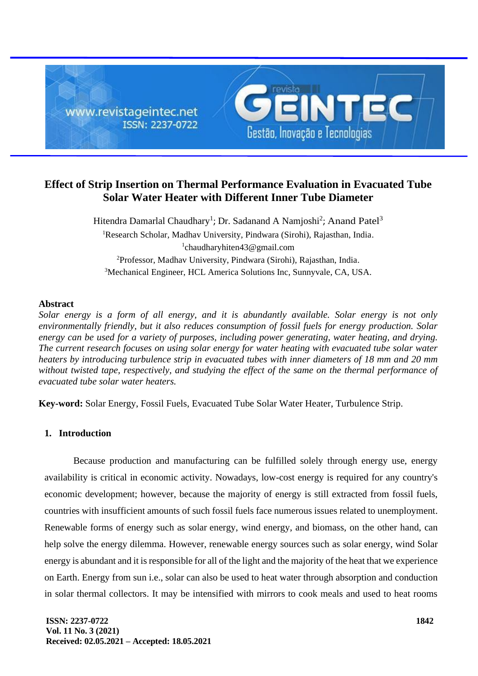

# **Effect of Strip Insertion on Thermal Performance Evaluation in Evacuated Tube Solar Water Heater with Different Inner Tube Diameter**

Hitendra Damarlal Chaudhary<sup>1</sup>; Dr. Sadanand A Namjoshi<sup>2</sup>; Anand Patel<sup>3</sup> <sup>1</sup>Research Scholar, Madhav University, Pindwara (Sirohi), Rajasthan, India. 1 [chaudharyhiten43@gmail.com](mailto:1chaudharyhiten43@gmail.com) <sup>2</sup>Professor, Madhav University, Pindwara (Sirohi), Rajasthan, India. <sup>3</sup>Mechanical Engineer, HCL America Solutions Inc, Sunnyvale, CA, USA.

#### **Abstract**

*Solar energy is a form of all energy, and it is abundantly available. Solar energy is not only environmentally friendly, but it also reduces consumption of fossil fuels for energy production. Solar energy can be used for a variety of purposes, including power generating, water heating, and drying. The current research focuses on using solar energy for water heating with evacuated tube solar water heaters by introducing turbulence strip in evacuated tubes with inner diameters of 18 mm and 20 mm without twisted tape, respectively, and studying the effect of the same on the thermal performance of evacuated tube solar water heaters.*

**Key-word:** Solar Energy, Fossil Fuels, Evacuated Tube Solar Water Heater, Turbulence Strip.

### **1. Introduction**

Because production and manufacturing can be fulfilled solely through energy use, energy availability is critical in economic activity. Nowadays, low-cost energy is required for any country's economic development; however, because the majority of energy is still extracted from fossil fuels, countries with insufficient amounts of such fossil fuels face numerous issues related to unemployment. Renewable forms of energy such as solar energy, wind energy, and biomass, on the other hand, can help solve the energy dilemma. However, renewable energy sources such as solar energy, wind Solar energy is abundant and it is responsible for all of the light and the majority of the heat that we experience on Earth. Energy from sun i.e., solar can also be used to heat water through absorption and conduction in solar thermal collectors. It may be intensified with mirrors to cook meals and used to heat rooms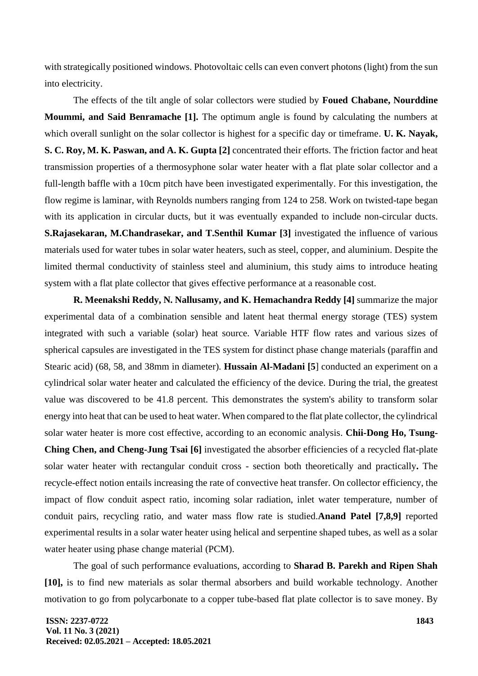with strategically positioned windows. Photovoltaic cells can even convert photons (light) from the sun into electricity.

The effects of the tilt angle of solar collectors were studied by **Foued Chabane, Nourddine Moummi, and Said Benramache [1].** The optimum angle is found by calculating the numbers at which overall sunlight on the solar collector is highest for a specific day or timeframe. **U. K. Nayak, S. C. Roy, M. K. Paswan, and A. K. Gupta [2]** concentrated their efforts. The friction factor and heat transmission properties of a thermosyphone solar water heater with a flat plate solar collector and a full-length baffle with a 10cm pitch have been investigated experimentally. For this investigation, the flow regime is laminar, with Reynolds numbers ranging from 124 to 258. Work on twisted-tape began with its application in circular ducts, but it was eventually expanded to include non-circular ducts. **S.Rajasekaran, M.Chandrasekar, and T.Senthil Kumar [3]** investigated the influence of various materials used for water tubes in solar water heaters, such as steel, copper, and aluminium. Despite the limited thermal conductivity of stainless steel and aluminium, this study aims to introduce heating system with a flat plate collector that gives effective performance at a reasonable cost.

**R. Meenakshi Reddy, N. Nallusamy, and K. Hemachandra Reddy [4]** summarize the major experimental data of a combination sensible and latent heat thermal energy storage (TES) system integrated with such a variable (solar) heat source. Variable HTF flow rates and various sizes of spherical capsules are investigated in the TES system for distinct phase change materials (paraffin and Stearic acid) (68, 58, and 38mm in diameter). **Hussain Al-Madani [5**] conducted an experiment on a cylindrical solar water heater and calculated the efficiency of the device. During the trial, the greatest value was discovered to be 41.8 percent. This demonstrates the system's ability to transform solar energy into heat that can be used to heat water. When compared to the flat plate collector, the cylindrical solar water heater is more cost effective, according to an economic analysis. **Chii-Dong Ho, Tsung-Ching Chen, and Cheng-Jung Tsai [6]** investigated the absorber efficiencies of a recycled flat-plate solar water heater with rectangular conduit cross - section both theoretically and practically**.** The recycle-effect notion entails increasing the rate of convective heat transfer. On collector efficiency, the impact of flow conduit aspect ratio, incoming solar radiation, inlet water temperature, number of conduit pairs, recycling ratio, and water mass flow rate is studied.**Anand Patel [7,8,9]** reported experimental results in a solar water heater using helical and serpentine shaped tubes, as well as a solar water heater using phase change material (PCM).

The goal of such performance evaluations, according to **Sharad B. Parekh and Ripen Shah [10],** is to find new materials as solar thermal absorbers and build workable technology. Another motivation to go from polycarbonate to a copper tube-based flat plate collector is to save money. By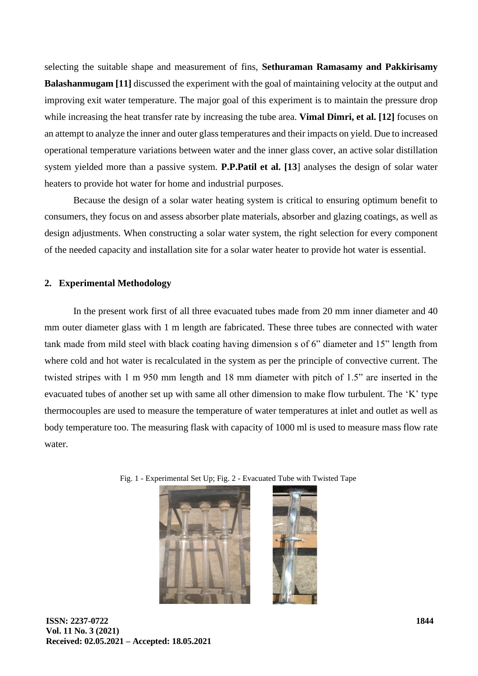selecting the suitable shape and measurement of fins, **Sethuraman Ramasamy and Pakkirisamy Balashanmugam [11]** discussed the experiment with the goal of maintaining velocity at the output and improving exit water temperature. The major goal of this experiment is to maintain the pressure drop while increasing the heat transfer rate by increasing the tube area. **Vimal Dimri, et al. [12]** focuses on an attempt to analyze the inner and outer glass temperatures and their impacts on yield. Due to increased operational temperature variations between water and the inner glass cover, an active solar distillation system yielded more than a passive system. **P.P.Patil et al. [13**] analyses the design of solar water heaters to provide hot water for home and industrial purposes.

Because the design of a solar water heating system is critical to ensuring optimum benefit to consumers, they focus on and assess absorber plate materials, absorber and glazing coatings, as well as design adjustments. When constructing a solar water system, the right selection for every component of the needed capacity and installation site for a solar water heater to provide hot water is essential.

#### **2. Experimental Methodology**

In the present work first of all three evacuated tubes made from 20 mm inner diameter and 40 mm outer diameter glass with 1 m length are fabricated. These three tubes are connected with water tank made from mild steel with black coating having dimension s of 6" diameter and 15" length from where cold and hot water is recalculated in the system as per the principle of convective current. The twisted stripes with 1 m 950 mm length and 18 mm diameter with pitch of 1.5" are inserted in the evacuated tubes of another set up with same all other dimension to make flow turbulent. The 'K' type thermocouples are used to measure the temperature of water temperatures at inlet and outlet as well as body temperature too. The measuring flask with capacity of 1000 ml is used to measure mass flow rate water.

Fig. 1 - Experimental Set Up; Fig. 2 - Evacuated Tube with Twisted Tape



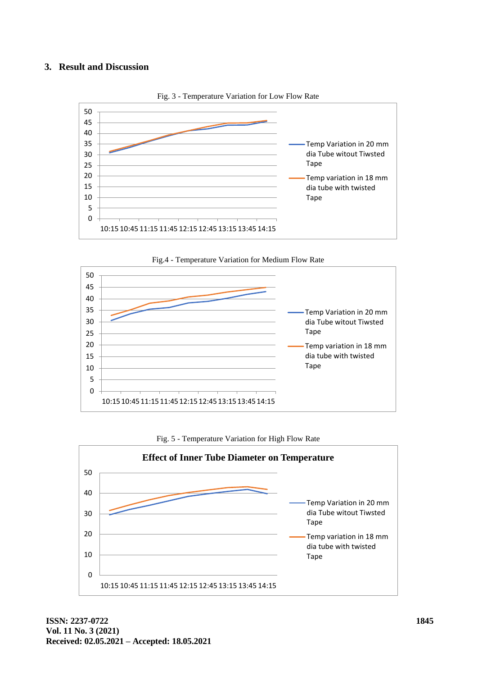#### **3. Result and Discussion**



Fig. 3 - Temperature Variation for Low Flow Rate







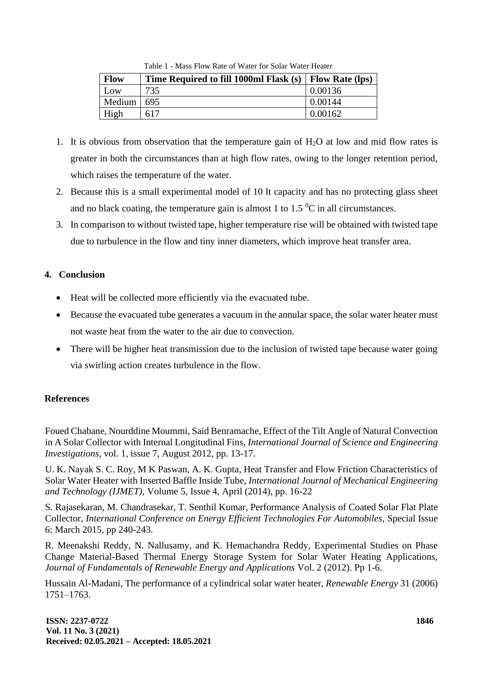| <b>Flow</b> | Time Required to fill 1000ml Flask (s)   Flow Rate (lps) |         |
|-------------|----------------------------------------------------------|---------|
| Low         | 735                                                      | 0.00136 |
| Medium      | 695                                                      | 0.00144 |
| High        | 617                                                      | 0.00162 |

Table 1 - Mass Flow Rate of Water for Solar Water Heater

- 1. It is obvious from observation that the temperature gain of  $H_2O$  at low and mid flow rates is greater in both the circumstances than at high flow rates, owing to the longer retention period, which raises the temperature of the water.
- 2. Because this is a small experimental model of 10 lt capacity and has no protecting glass sheet and no black coating, the temperature gain is almost 1 to 1.5  $\mathrm{^0C}$  in all circumstances.
- 3. In comparison to without twisted tape, higher temperature rise will be obtained with twisted tape due to turbulence in the flow and tiny inner diameters, which improve heat transfer area.

## **4. Conclusion**

- Heat will be collected more efficiently via the evacuated tube.
- Because the evacuated tube generates a vacuum in the annular space, the solar water heater must not waste heat from the water to the air due to convection.
- There will be higher heat transmission due to the inclusion of twisted tape because water going via swirling action creates turbulence in the flow.

### **References**

Foued Chabane, Nourddine Moummi, Said Benramache, Effect of the Tilt Angle of Natural Convection in A Solar Collector with Internal Longitudinal Fins, *International Journal of Science and Engineering Investigations,* vol. 1, issue 7, August 2012, pp. 13-17.

U. K. Nayak S. C. Roy, M K Paswan, A. K. Gupta, Heat Transfer and Flow Friction Characteristics of Solar Water Heater with Inserted Baffle Inside Tube, *International Journal of Mechanical Engineering and Technology (IJMET),* Volume 5, Issue 4, April (2014), pp. 16-22

S. Rajasekaran, M. Chandrasekar, T. Senthil Kumar, Performance Analysis of Coated Solar Flat Plate Collector, *International Conference on Energy Efficient Technologies For Automobiles,* Special Issue 6: March 2015, pp 240-243.

R. Meenakshi Reddy, N. Nallusamy, and K. Hemachandra Reddy, Experimental Studies on Phase Change Material-Based Thermal Energy Storage System for Solar Water Heating Applications, *Journal of Fundamentals of Renewable Energy and Applications* Vol. 2 (2012). Pp 1-6.

Hussain Al-Madani, The performance of a cylindrical solar water heater, *Renewable Energy* 31 (2006) 1751–1763.